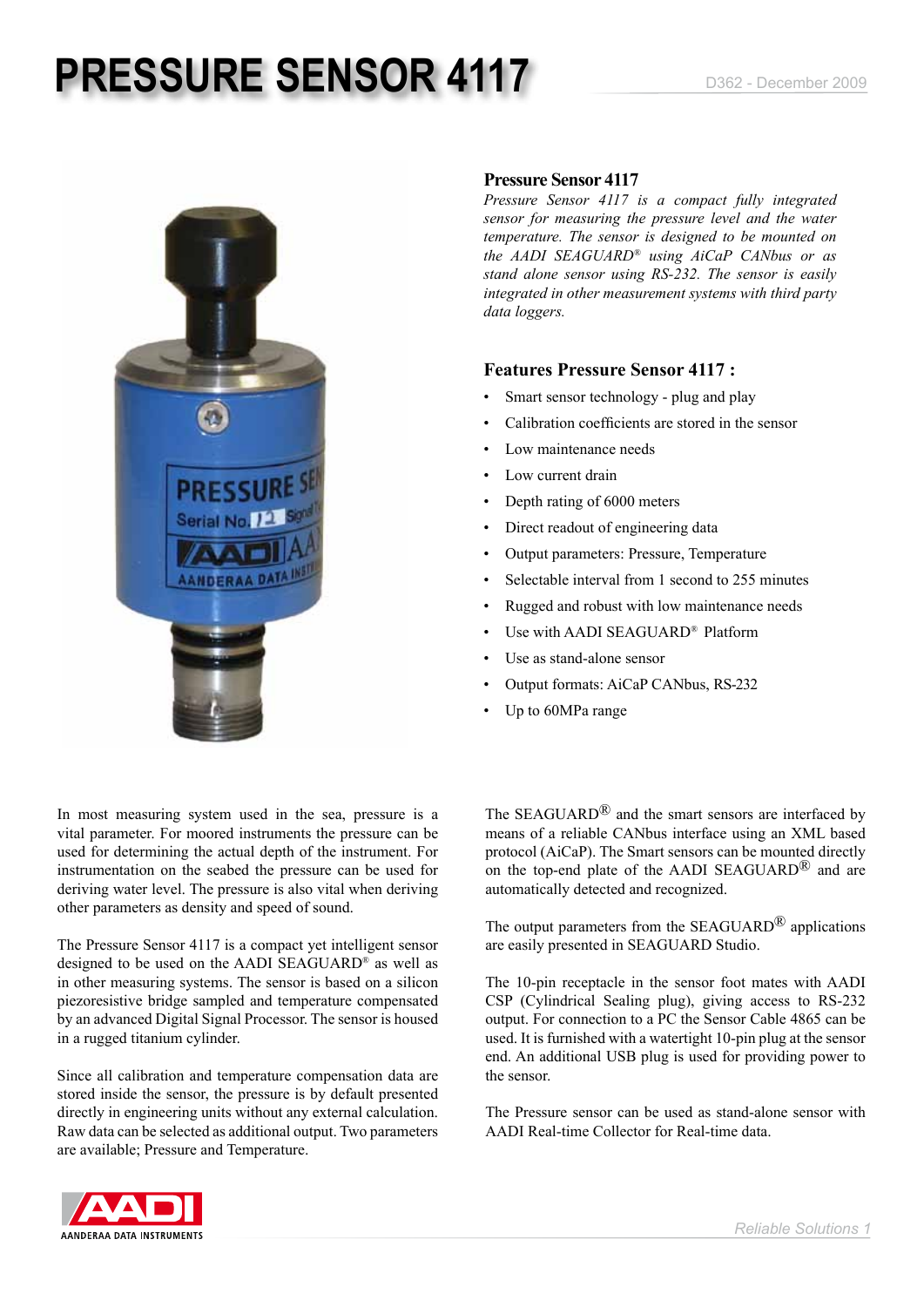# **PRESSURE SENSOR 4117** D362 - December 2009



### **Pressure Sensor 4117**

*Pressure Sensor 4117 is a compact fully integrated sensor for measuring the pressure level and the water temperature. The sensor is designed to be mounted on the AADI SEAGUARD® using AiCaP CANbus or as stand alone sensor using RS-232. The sensor is easily integrated in other measurement systems with third party data loggers.* 

### **Features Pressure Sensor 4117 :**

- Smart sensor technology plug and play
- Calibration coefficients are stored in the sensor
- Low maintenance needs
- Low current drain
- Depth rating of 6000 meters
- Direct readout of engineering data
- • Output parameters: Pressure, Temperature
- Selectable interval from 1 second to 255 minutes
- Rugged and robust with low maintenance needs
- Use with AADI SEAGUARD<sup>®</sup> Platform
- Use as stand-alone sensor
- Output formats: AiCaP CANbus, RS-232
- Up to 60MPa range

In most measuring system used in the sea, pressure is a vital parameter. For moored instruments the pressure can be used for determining the actual depth of the instrument. For instrumentation on the seabed the pressure can be used for deriving water level. The pressure is also vital when deriving other parameters as density and speed of sound.

The Pressure Sensor 4117 is a compact yet intelligent sensor designed to be used on the AADI SEAGUARD® as well as in other measuring systems. The sensor is based on a silicon piezoresistive bridge sampled and temperature compensated by an advanced Digital Signal Processor. The sensor is housed in a rugged titanium cylinder.

Since all calibration and temperature compensation data are stored inside the sensor, the pressure is by default presented directly in engineering units without any external calculation. Raw data can be selected as additional output. Two parameters are available; Pressure and Temperature.

The SEAGUARD<sup>®</sup> and the smart sensors are interfaced by means of a reliable CANbus interface using an XML based protocol (AiCaP). The Smart sensors can be mounted directly on the top-end plate of the AADI SEAGUARD<sup>®</sup> and are automatically detected and recognized.

The output parameters from the SEAGUARD<sup>®</sup> applications are easily presented in SEAGUARD Studio.

The 10-pin receptacle in the sensor foot mates with AADI CSP (Cylindrical Sealing plug), giving access to RS-232 output. For connection to a PC the Sensor Cable 4865 can be used. It is furnished with a watertight 10-pin plug at the sensor end. An additional USB plug is used for providing power to the sensor.

The Pressure sensor can be used as stand-alone sensor with AADI Real-time Collector for Real-time data.